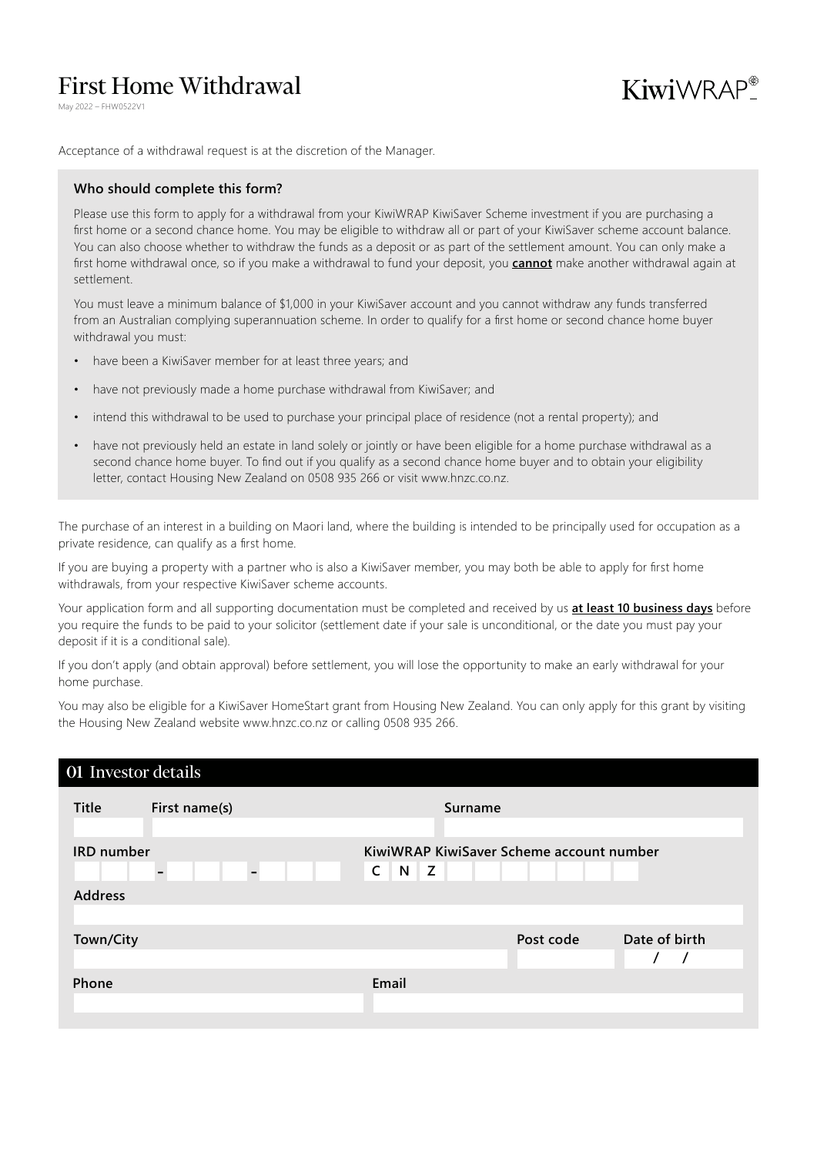# First Home Withdrawal

May 2022 – FHW0522V1



Acceptance of a withdrawal request is at the discretion of the Manager.

## **Who should complete this form?**

Please use this form to apply for a withdrawal from your KiwiWRAP KiwiSaver Scheme investment if you are purchasing a first home or a second chance home. You may be eligible to withdraw all or part of your KiwiSaver scheme account balance. You can also choose whether to withdraw the funds as a deposit or as part of the settlement amount. You can only make a first home withdrawal once, so if you make a withdrawal to fund your deposit, you **cannot** make another withdrawal again at settlement.

You must leave a minimum balance of \$1,000 in your KiwiSaver account and you cannot withdraw any funds transferred from an Australian complying superannuation scheme. In order to qualify for a first home or second chance home buyer withdrawal you must:

- have been a KiwiSaver member for at least three years; and
- have not previously made a home purchase withdrawal from KiwiSaver; and
- intend this withdrawal to be used to purchase your principal place of residence (not a rental property); and
- have not previously held an estate in land solely or jointly or have been eligible for a home purchase withdrawal as a second chance home buyer. To find out if you qualify as a second chance home buyer and to obtain your eligibility letter, contact Housing New Zealand on 0508 935 266 or visit www.hnzc.co.nz.

The purchase of an interest in a building on Maori land, where the building is intended to be principally used for occupation as a private residence, can qualify as a first home.

If you are buying a property with a partner who is also a KiwiSaver member, you may both be able to apply for first home withdrawals, from your respective KiwiSaver scheme accounts.

Your application form and all supporting documentation must be completed and received by us **at least 10 business days** before you require the funds to be paid to your solicitor (settlement date if your sale is unconditional, or the date you must pay your deposit if it is a conditional sale).

If you don't apply (and obtain approval) before settlement, you will lose the opportunity to make an early withdrawal for your home purchase.

You may also be eligible for a KiwiSaver HomeStart grant from Housing New Zealand. You can only apply for this grant by visiting the Housing New Zealand website www.hnzc.co.nz or calling 0508 935 266.

# Investor details

| Title             | First name(s) |                          |                        | <b>Surname</b> |                                          |               |
|-------------------|---------------|--------------------------|------------------------|----------------|------------------------------------------|---------------|
| <b>IRD</b> number |               | $\overline{\phantom{0}}$ | $\mathsf{C}$<br>N<br>Z |                | KiwiWRAP KiwiSaver Scheme account number |               |
| <b>Address</b>    |               |                          |                        |                |                                          |               |
| Town/City         |               |                          |                        |                | Post code                                | Date of birth |
| Phone             |               |                          | Email                  |                |                                          |               |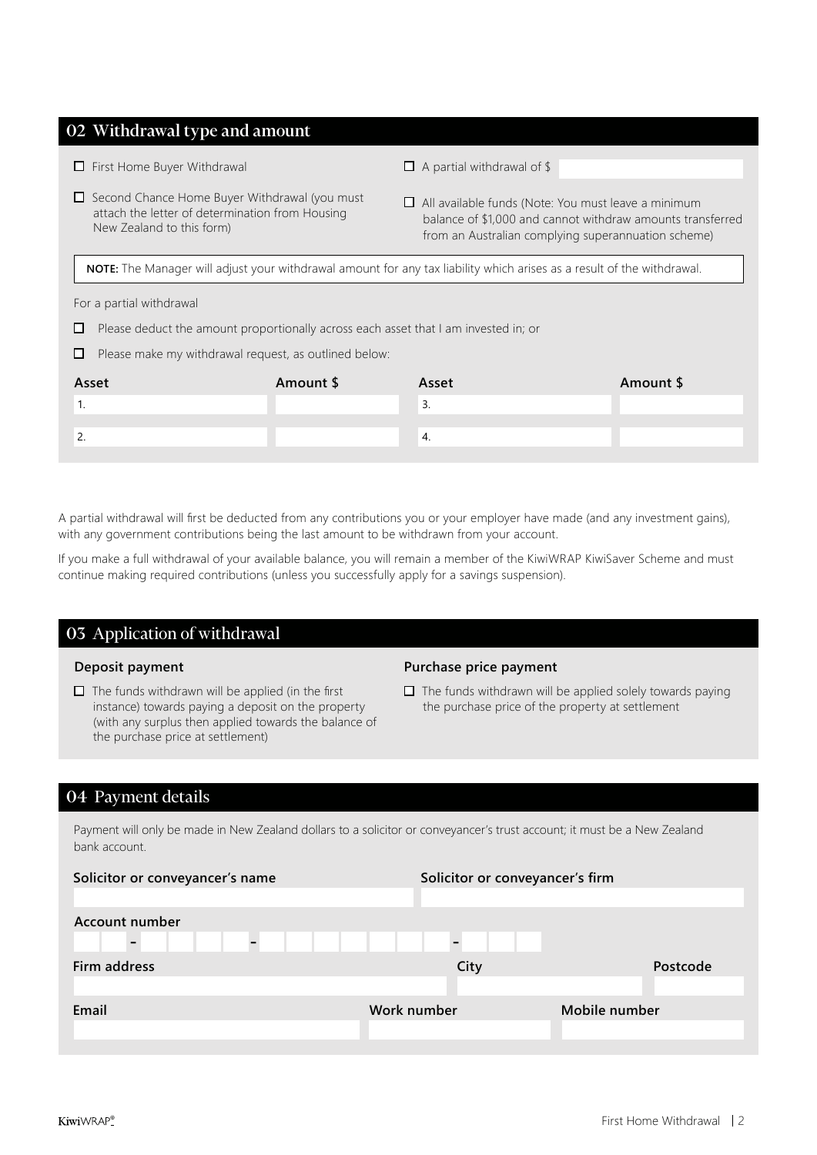# 02 Withdrawal type and amount

- $\Box$  First Home Buyer Withdrawal
- □ Second Chance Home Buyer Withdrawal (you must attach the letter of determination from Housing New Zealand to this form)
- $\Box$  A partial withdrawal of \$
- All available funds (Note: You must leave a minimum balance of \$1,000 and cannot withdraw amounts transferred from an Australian complying superannuation scheme)

**NOTE:** The Manager will adjust your withdrawal amount for any tax liability which arises as a result of the withdrawal.

#### For a partial withdrawal

- $\square$  Please deduct the amount proportionally across each asset that I am invested in; or
- $\Box$  Please make my withdrawal request, as outlined below:

| Asset    | Amount \$ | Asset | Amount \$ |
|----------|-----------|-------|-----------|
|          |           | .ر    |           |
|          |           |       |           |
| <u>.</u> |           | 4.    |           |
|          |           |       |           |

A partial withdrawal will first be deducted from any contributions you or your employer have made (and any investment gains), with any government contributions being the last amount to be withdrawn from your account.

If you make a full withdrawal of your available balance, you will remain a member of the KiwiWRAP KiwiSaver Scheme and must continue making required contributions (unless you successfully apply for a savings suspension).

# 03 Application of withdrawal

## **Deposit payment**

 $\Box$  The funds withdrawn will be applied (in the first instance) towards paying a deposit on the property (with any surplus then applied towards the balance of the purchase price at settlement)

## **Purchase price payment**

 $\Box$  The funds withdrawn will be applied solely towards paying the purchase price of the property at settlement

# 04 Payment details

Payment will only be made in New Zealand dollars to a solicitor or conveyancer's trust account; it must be a New Zealand bank account.

| Solicitor or conveyancer's name | Solicitor or conveyancer's firm |               |
|---------------------------------|---------------------------------|---------------|
| Account number                  |                                 |               |
| Firm address                    | City                            | Postcode      |
| Email                           | Work number                     | Mobile number |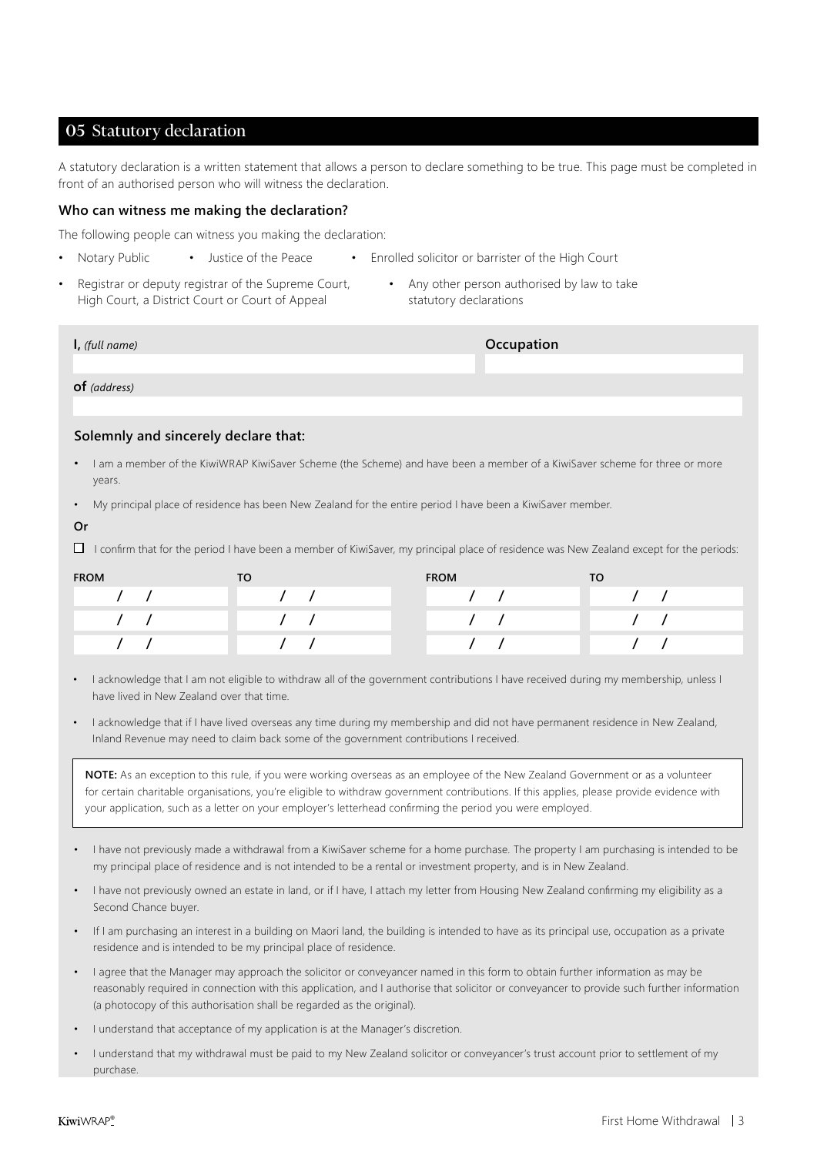# 05 Statutory declaration

A statutory declaration is a written statement that allows a person to declare something to be true. This page must be completed in front of an authorised person who will witness the declaration.

#### **Who can witness me making the declaration?**

The following people can witness you making the declaration:

- Notary Public Justice of the Peace Enrolled solicitor or barrister of the High Court
- Registrar or deputy registrar of the Supreme Court, High Court, a District Court or Court of Appeal
- Any other person authorised by law to take statutory declarations

| I, (full name) | Occupation |
|----------------|------------|
|                |            |
| $of$ (address) |            |
|                |            |

## **Solemnly and sincerely declare that:**

- I am a member of the KiwiWRAP KiwiSaver Scheme (the Scheme) and have been a member of a KiwiSaver scheme for three or more years.
- My principal place of residence has been New Zealand for the entire period I have been a KiwiSaver member.
- **Or**

 $\Box$  I confirm that for the period I have been a member of KiwiSaver, my principal place of residence was New Zealand except for the periods:

| <b>FROM</b> | TO. | <b>FROM</b> | то |
|-------------|-----|-------------|----|
|             |     |             |    |
|             |     |             |    |
|             |     |             |    |

• I acknowledge that I am not eligible to withdraw all of the government contributions I have received during my membership, unless I have lived in New Zealand over that time.

• I acknowledge that if I have lived overseas any time during my membership and did not have permanent residence in New Zealand, Inland Revenue may need to claim back some of the government contributions I received.

**NOTE:** As an exception to this rule, if you were working overseas as an employee of the New Zealand Government or as a volunteer for certain charitable organisations, you're eligible to withdraw government contributions. If this applies, please provide evidence with your application, such as a letter on your employer's letterhead confirming the period you were employed.

- I have not previously made a withdrawal from a KiwiSaver scheme for a home purchase. The property I am purchasing is intended to be my principal place of residence and is not intended to be a rental or investment property, and is in New Zealand.
- I have not previously owned an estate in land, or if I have, I attach my letter from Housing New Zealand confirming my eligibility as a Second Chance buyer.
- If I am purchasing an interest in a building on Maori land, the building is intended to have as its principal use, occupation as a private residence and is intended to be my principal place of residence.
- I agree that the Manager may approach the solicitor or conveyancer named in this form to obtain further information as may be reasonably required in connection with this application, and I authorise that solicitor or conveyancer to provide such further information (a photocopy of this authorisation shall be regarded as the original).
- I understand that acceptance of my application is at the Manager's discretion.
- I understand that my withdrawal must be paid to my New Zealand solicitor or conveyancer's trust account prior to settlement of my purchase.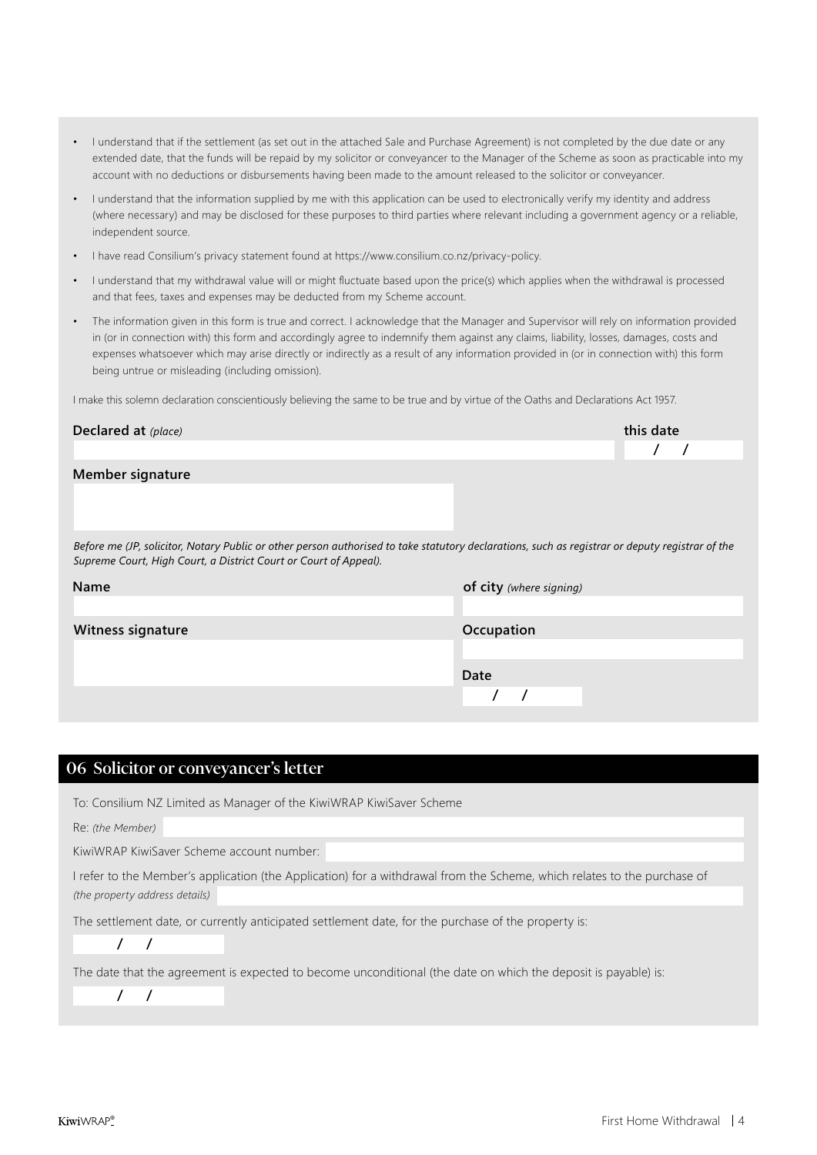- I understand that if the settlement (as set out in the attached Sale and Purchase Agreement) is not completed by the due date or any extended date, that the funds will be repaid by my solicitor or conveyancer to the Manager of the Scheme as soon as practicable into my account with no deductions or disbursements having been made to the amount released to the solicitor or conveyancer.
- I understand that the information supplied by me with this application can be used to electronically verify my identity and address (where necessary) and may be disclosed for these purposes to third parties where relevant including a government agency or a reliable, independent source.
- I have read Consilium's privacy statement found at https://www.consilium.co.nz/privacy-policy.
- I understand that my withdrawal value will or might fluctuate based upon the price(s) which applies when the withdrawal is processed and that fees, taxes and expenses may be deducted from my Scheme account.
- The information given in this form is true and correct. I acknowledge that the Manager and Supervisor will rely on information provided in (or in connection with) this form and accordingly agree to indemnify them against any claims, liability, losses, damages, costs and expenses whatsoever which may arise directly or indirectly as a result of any information provided in (or in connection with) this form being untrue or misleading (including omission).

I make this solemn declaration conscientiously believing the same to be true and by virtue of the Oaths and Declarations Act 1957.

| Declared at (place)                                                                                                                                                                                                 | this date               |
|---------------------------------------------------------------------------------------------------------------------------------------------------------------------------------------------------------------------|-------------------------|
|                                                                                                                                                                                                                     |                         |
| Member signature                                                                                                                                                                                                    |                         |
|                                                                                                                                                                                                                     |                         |
| Before me (JP, solicitor, Notary Public or other person authorised to take statutory declarations, such as registrar or deputy registrar of the<br>Supreme Court, High Court, a District Court or Court of Appeal). |                         |
| Name                                                                                                                                                                                                                | of city (where signing) |
|                                                                                                                                                                                                                     |                         |
| Witness signature                                                                                                                                                                                                   | Occupation              |
|                                                                                                                                                                                                                     |                         |
|                                                                                                                                                                                                                     | Date                    |
|                                                                                                                                                                                                                     |                         |

# 06 Solicitor or conveyancer's letter

To: Consilium NZ Limited as Manager of the KiwiWRAP KiwiSaver Scheme

Re: *(the Member)*

KiwiWRAP KiwiSaver Scheme account number:

I refer to the Member's application (the Application) for a withdrawal from the Scheme, which relates to the purchase of *(the property address details)*

The settlement date, or currently anticipated settlement date, for the purchase of the property is:

 **/ /**

 **/ /**

The date that the agreement is expected to become unconditional (the date on which the deposit is payable) is: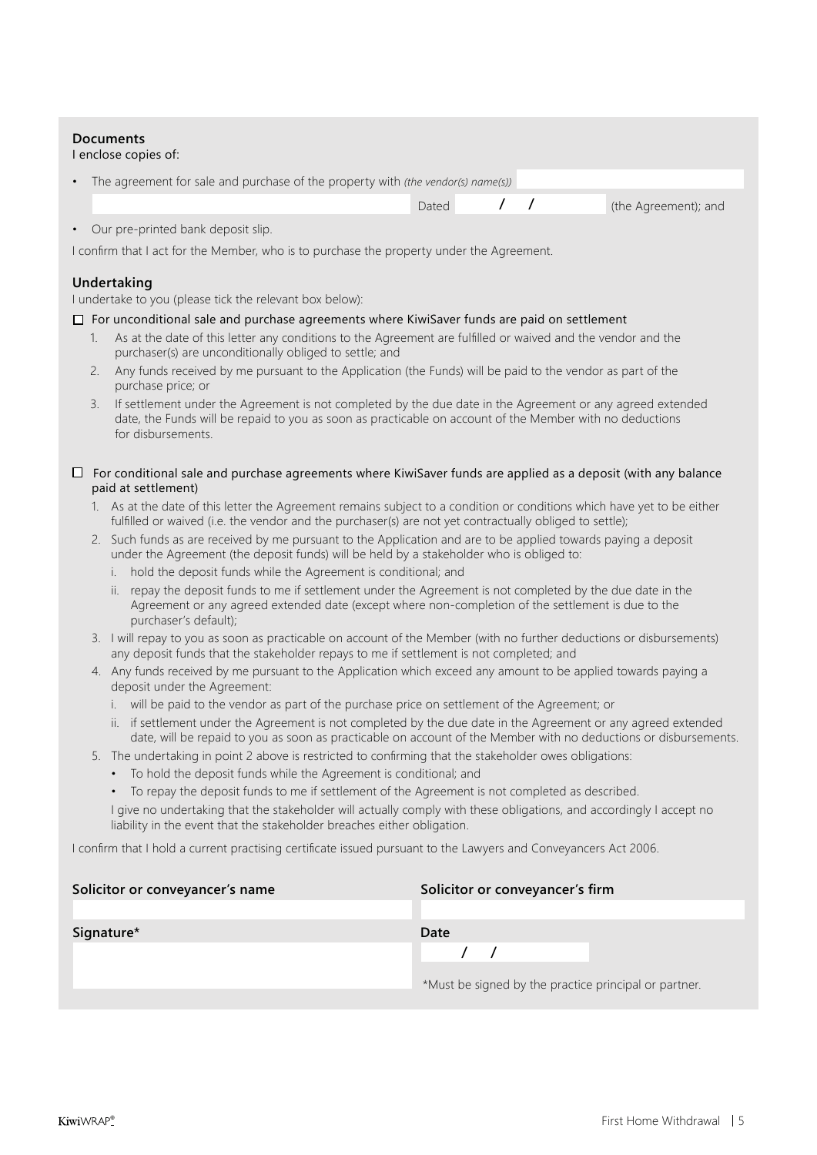# **Documents**

#### I enclose copies of:

| The agreement for sale and purchase of the property with (the vendor(s) name(s))                                                                                                                                                                                                                          |       |  |  |                      |
|-----------------------------------------------------------------------------------------------------------------------------------------------------------------------------------------------------------------------------------------------------------------------------------------------------------|-------|--|--|----------------------|
|                                                                                                                                                                                                                                                                                                           | Dated |  |  | (the Agreement); and |
| • Our pre-printed bank deposit slip.<br>$\mathbf{r} = \mathbf{r}$ and $\mathbf{r} = \mathbf{r}$ and $\mathbf{r} = \mathbf{r} = \mathbf{r}$ . The contract of the contract of the contract of the contract of the contract of the contract of the contract of the contract of the contract of the contract |       |  |  |                      |

I confirm that I act for the Member, who is to purchase the property under the Agreement.

# **Undertaking**

I undertake to you (please tick the relevant box below):

#### $\square$  For unconditional sale and purchase agreements where KiwiSaver funds are paid on settlement

- 1. As at the date of this letter any conditions to the Agreement are fulfilled or waived and the vendor and the purchaser(s) are unconditionally obliged to settle; and
- 2. Any funds received by me pursuant to the Application (the Funds) will be paid to the vendor as part of the purchase price; or
- 3. If settlement under the Agreement is not completed by the due date in the Agreement or any agreed extended date, the Funds will be repaid to you as soon as practicable on account of the Member with no deductions for disbursements.

## $\Box$  For conditional sale and purchase agreements where KiwiSaver funds are applied as a deposit (with any balance paid at settlement)

- 1. As at the date of this letter the Agreement remains subject to a condition or conditions which have yet to be either fulfilled or waived (i.e. the vendor and the purchaser(s) are not yet contractually obliged to settle);
- 2. Such funds as are received by me pursuant to the Application and are to be applied towards paying a deposit under the Agreement (the deposit funds) will be held by a stakeholder who is obliged to:
	- i. hold the deposit funds while the Agreement is conditional; and
	- ii. repay the deposit funds to me if settlement under the Agreement is not completed by the due date in the Agreement or any agreed extended date (except where non-completion of the settlement is due to the purchaser's default);
- 3. I will repay to you as soon as practicable on account of the Member (with no further deductions or disbursements) any deposit funds that the stakeholder repays to me if settlement is not completed; and
- 4. Any funds received by me pursuant to the Application which exceed any amount to be applied towards paying a deposit under the Agreement:
	- i. will be paid to the vendor as part of the purchase price on settlement of the Agreement; or
	- ii. if settlement under the Agreement is not completed by the due date in the Agreement or any agreed extended date, will be repaid to you as soon as practicable on account of the Member with no deductions or disbursements.
- 5. The undertaking in point 2 above is restricted to confirming that the stakeholder owes obligations:
	- To hold the deposit funds while the Agreement is conditional; and
	- To repay the deposit funds to me if settlement of the Agreement is not completed as described.

I give no undertaking that the stakeholder will actually comply with these obligations, and accordingly I accept no liability in the event that the stakeholder breaches either obligation.

I confirm that I hold a current practising certificate issued pursuant to the Lawyers and Conveyancers Act 2006.

| Solicitor or conveyancer's name | Solicitor or conveyancer's firm                       |  |  |  |
|---------------------------------|-------------------------------------------------------|--|--|--|
|                                 |                                                       |  |  |  |
| Signature*                      | Date                                                  |  |  |  |
|                                 |                                                       |  |  |  |
|                                 | *Must be signed by the practice principal or partner. |  |  |  |